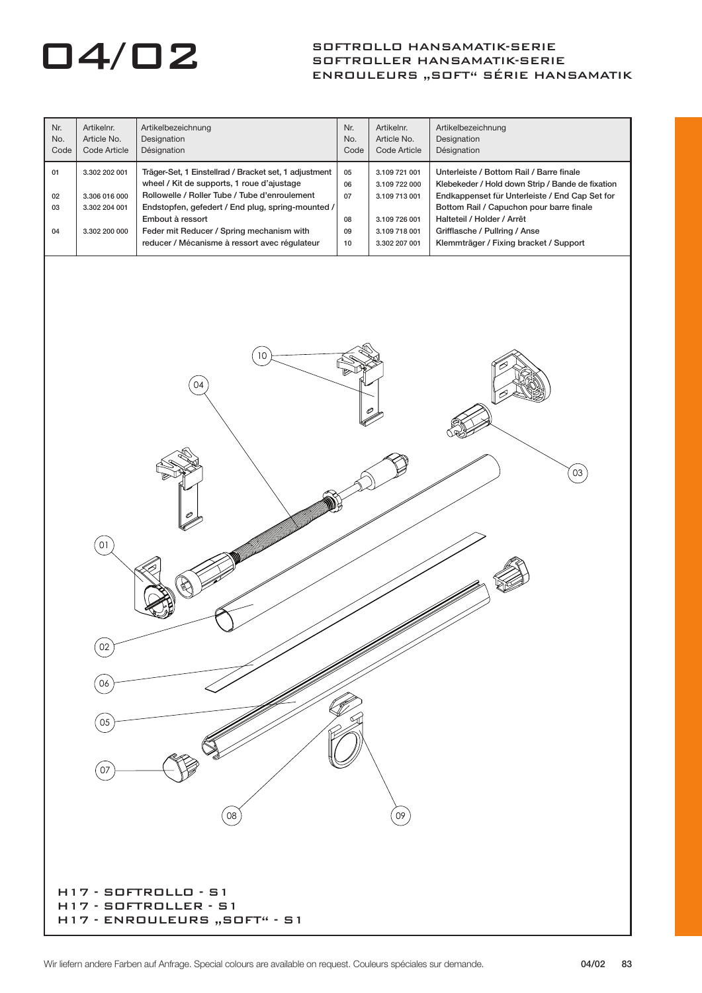| Nr.<br>No.<br>Code                                                              | Artikelnr.<br>Article No.<br>Code Article                        | Artikelbezeichnung<br>Designation<br>Désignation                                                                                                                                                                                                                                                                            | Nr.<br>No.<br>Code               | Artikelnr.<br>Article No.<br>Code Article                                                          | Artikelbezeichnung<br>Designation<br>Désignation                                                                                                                                                                                                                                                    |  |  |  |
|---------------------------------------------------------------------------------|------------------------------------------------------------------|-----------------------------------------------------------------------------------------------------------------------------------------------------------------------------------------------------------------------------------------------------------------------------------------------------------------------------|----------------------------------|----------------------------------------------------------------------------------------------------|-----------------------------------------------------------------------------------------------------------------------------------------------------------------------------------------------------------------------------------------------------------------------------------------------------|--|--|--|
| 01<br>02<br>03<br>04                                                            | 3.302 202 001<br>3.306 016 000<br>3.302 204 001<br>3.302 200 000 | Träger-Set, 1 Einstellrad / Bracket set, 1 adjustment<br>wheel / Kit de supports, 1 roue d'ajustage<br>Rollowelle / Roller Tube / Tube d'enroulement<br>Endstopfen, gefedert / End plug, spring-mounted /<br>Embout à ressort<br>Feder mit Reducer / Spring mechanism with<br>reducer / Mécanisme à ressort avec régulateur | 05<br>06<br>07<br>08<br>09<br>10 | 3.109 721 001<br>3.109 722 000<br>3.109 713 001<br>3.109 726 001<br>3.109 718 001<br>3.302 207 001 | Unterleiste / Bottom Rail / Barre finale<br>Klebekeder / Hold down Strip / Bande de fixation<br>Endkappenset für Unterleiste / End Cap Set for<br>Bottom Rail / Capuchon pour barre finale<br>Halteteil / Holder / Arrêt<br>Grifflasche / Pullring / Anse<br>Klemmträger / Fixing bracket / Support |  |  |  |
| 10 <sup>°</sup>                                                                 |                                                                  |                                                                                                                                                                                                                                                                                                                             |                                  |                                                                                                    |                                                                                                                                                                                                                                                                                                     |  |  |  |
|                                                                                 |                                                                  | 04                                                                                                                                                                                                                                                                                                                          |                                  |                                                                                                    |                                                                                                                                                                                                                                                                                                     |  |  |  |
|                                                                                 |                                                                  |                                                                                                                                                                                                                                                                                                                             |                                  |                                                                                                    | 03                                                                                                                                                                                                                                                                                                  |  |  |  |
|                                                                                 | 01                                                               |                                                                                                                                                                                                                                                                                                                             |                                  |                                                                                                    |                                                                                                                                                                                                                                                                                                     |  |  |  |
|                                                                                 | 02<br>06                                                         |                                                                                                                                                                                                                                                                                                                             |                                  |                                                                                                    |                                                                                                                                                                                                                                                                                                     |  |  |  |
|                                                                                 | 05<br>07                                                         |                                                                                                                                                                                                                                                                                                                             |                                  |                                                                                                    |                                                                                                                                                                                                                                                                                                     |  |  |  |
|                                                                                 |                                                                  | 08                                                                                                                                                                                                                                                                                                                          |                                  | 09                                                                                                 |                                                                                                                                                                                                                                                                                                     |  |  |  |
| $H17 - S0FTROLLO - S1$<br>H17 - SOFTROLLER - S1<br>H17 - ENROULEURS "SOFT" - S1 |                                                                  |                                                                                                                                                                                                                                                                                                                             |                                  |                                                                                                    |                                                                                                                                                                                                                                                                                                     |  |  |  |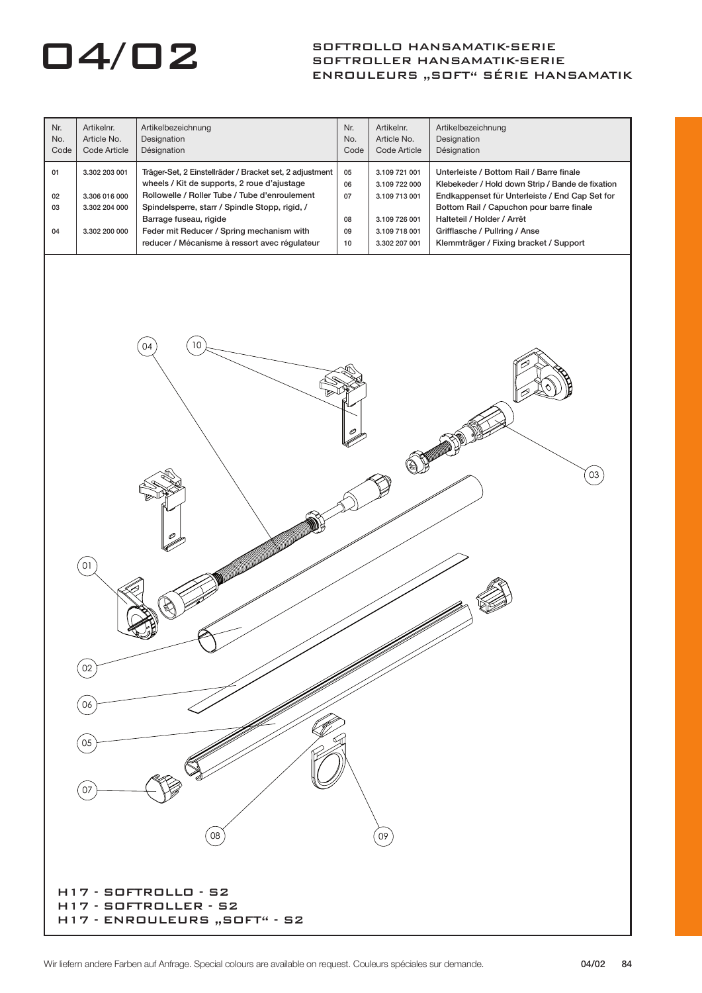| Nr.<br>No.<br>Code   | Artikelnr.<br>Article No.<br>Code Article                        | Artikelbezeichnung<br>Designation<br>Désignation                                                                                                                                                                                                                                                                                  | Nr.<br>No.<br>Code               | Artikelnr.<br>Article No.<br>Code Article                                                          | Artikelbezeichnung<br>Designation<br>Désignation                                                                                                                                                                                                                                                    |  |  |  |
|----------------------|------------------------------------------------------------------|-----------------------------------------------------------------------------------------------------------------------------------------------------------------------------------------------------------------------------------------------------------------------------------------------------------------------------------|----------------------------------|----------------------------------------------------------------------------------------------------|-----------------------------------------------------------------------------------------------------------------------------------------------------------------------------------------------------------------------------------------------------------------------------------------------------|--|--|--|
| 01<br>02<br>03<br>04 | 3.302 203 001<br>3.306 016 000<br>3.302 204 000<br>3.302 200 000 | Träger-Set, 2 Einstellräder / Bracket set, 2 adjustment<br>wheels / Kit de supports, 2 roue d'ajustage<br>Rollowelle / Roller Tube / Tube d'enroulement<br>Spindelsperre, starr / Spindle Stopp, rigid, /<br>Barrage fuseau, rigide<br>Feder mit Reducer / Spring mechanism with<br>reducer / Mécanisme à ressort avec régulateur | 05<br>06<br>07<br>08<br>09<br>10 | 3.109 721 001<br>3.109 722 000<br>3.109 713 001<br>3.109 726 001<br>3.109 718 001<br>3.302 207 001 | Unterleiste / Bottom Rail / Barre finale<br>Klebekeder / Hold down Strip / Bande de fixation<br>Endkappenset für Unterleiste / End Cap Set for<br>Bottom Rail / Capuchon pour barre finale<br>Halteteil / Holder / Arrêt<br>Grifflasche / Pullring / Anse<br>Klemmträger / Fixing bracket / Support |  |  |  |
| 10<br>04             |                                                                  |                                                                                                                                                                                                                                                                                                                                   |                                  |                                                                                                    |                                                                                                                                                                                                                                                                                                     |  |  |  |
|                      | 03                                                               |                                                                                                                                                                                                                                                                                                                                   |                                  |                                                                                                    |                                                                                                                                                                                                                                                                                                     |  |  |  |
|                      | $\overline{0}1$<br>02                                            |                                                                                                                                                                                                                                                                                                                                   |                                  |                                                                                                    |                                                                                                                                                                                                                                                                                                     |  |  |  |
|                      | 06<br>05<br>07                                                   |                                                                                                                                                                                                                                                                                                                                   |                                  |                                                                                                    |                                                                                                                                                                                                                                                                                                     |  |  |  |
|                      |                                                                  | 08<br>H17 - SOFTROLLO - S2<br>H17 - SOFTROLLER - S2<br>H17 - ENROULEURS "SOFT" - S2                                                                                                                                                                                                                                               |                                  | 09                                                                                                 |                                                                                                                                                                                                                                                                                                     |  |  |  |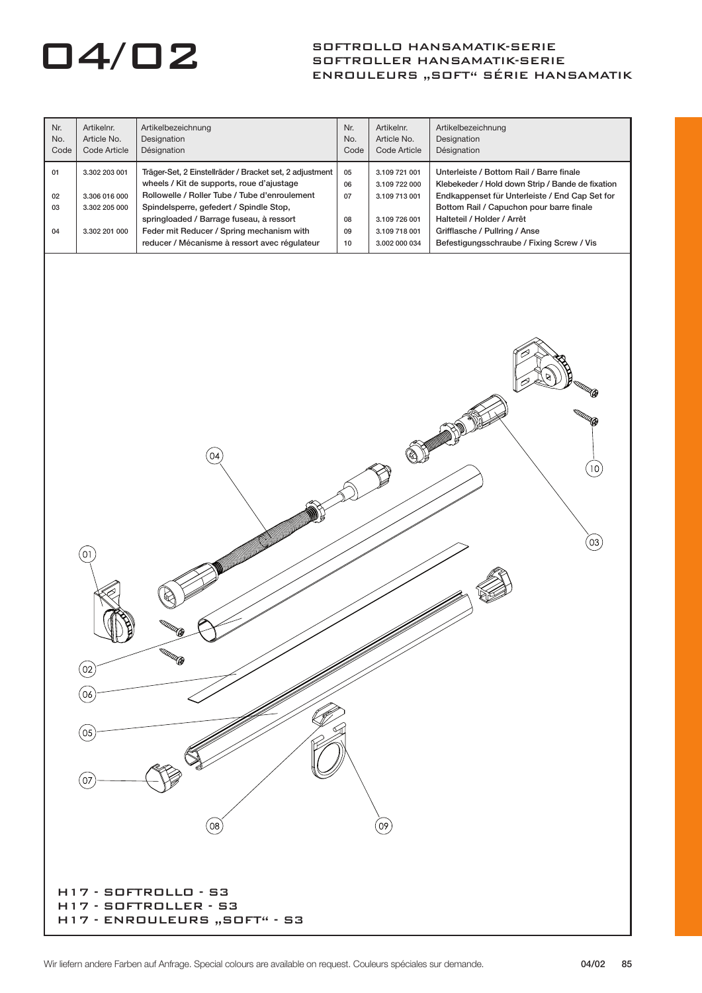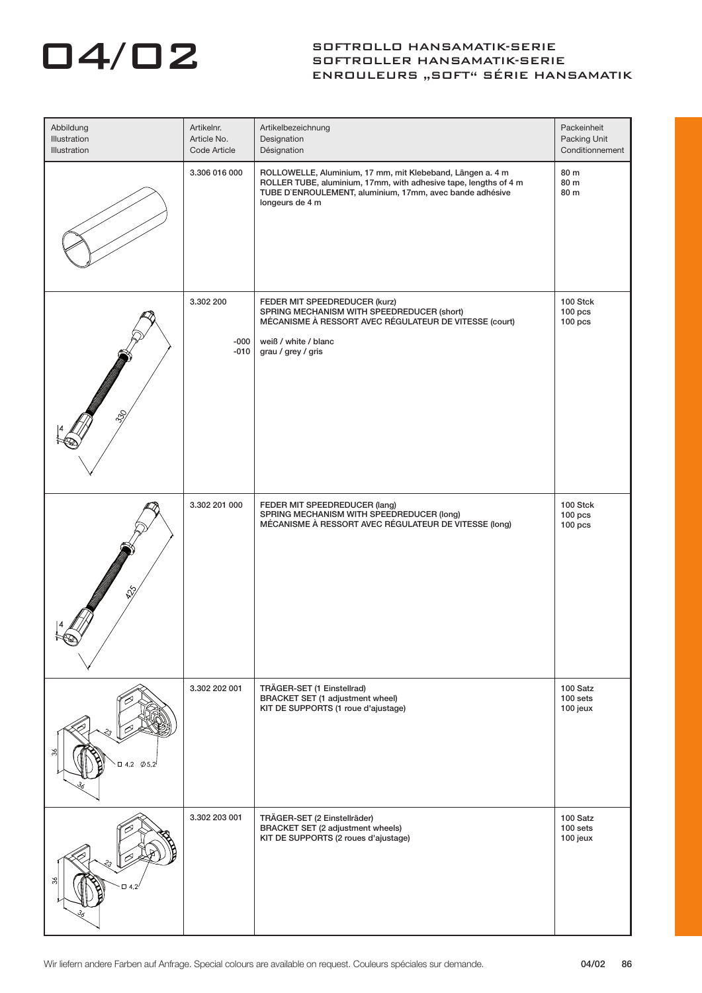| Abbildung<br>Illustration<br><b>Illustration</b> | Artikelnr.<br>Article No.<br>Code Article | Artikelbezeichnung<br>Designation<br>Désignation                                                                                                                                                              | Packeinheit<br>Packing Unit<br>Conditionnement |
|--------------------------------------------------|-------------------------------------------|---------------------------------------------------------------------------------------------------------------------------------------------------------------------------------------------------------------|------------------------------------------------|
|                                                  | 3.306 016 000                             | ROLLOWELLE, Aluminium, 17 mm, mit Klebeband, Längen a. 4 m<br>ROLLER TUBE, aluminium, 17mm, with adhesive tape, lengths of 4 m<br>TUBE D'ENROULEMENT, aluminium, 17mm, avec bande adhésive<br>longeurs de 4 m | 80 m<br>80 m<br>80 m                           |
| $\mathcal{S}_\mathcal{C}$                        | 3.302 200<br>$-000$<br>$-010$             | FEDER MIT SPEEDREDUCER (kurz)<br>SPRING MECHANISM WITH SPEEDREDUCER (short)<br>MÉCANISME À RESSORT AVEC RÉGULATEUR DE VITESSE (court)<br>weiß / white / blanc<br>grau / grey / gris                           | 100 Stck<br>$100$ pcs<br>$100$ pcs             |
| D                                                | 3.302 201 000                             | FEDER MIT SPEEDREDUCER (lang)<br>SPRING MECHANISM WITH SPEEDREDUCER (long)<br>MÉCANISME À RESSORT AVEC RÉGULATEUR DE VITESSE (long)                                                                           | 100 Stck<br>$100$ pcs<br>$100$ pcs             |
| $-$ 0 4.2 $\phi$ 5.2                             | 3.302 202 001                             | TRÄGER-SET (1 Einstellrad)<br>BRACKET SET (1 adjustment wheel)<br>KIT DE SUPPORTS (1 roue d'ajustage)                                                                                                         | 100 Satz<br>100 sets<br>100 jeux               |
| 23.<br>$\Box$ 4,2                                | 3.302 203 001                             | TRÄGER-SET (2 Einstellräder)<br>BRACKET SET (2 adjustment wheels)<br>KIT DE SUPPORTS (2 roues d'ajustage)                                                                                                     | 100 Satz<br>100 sets<br>100 jeux               |